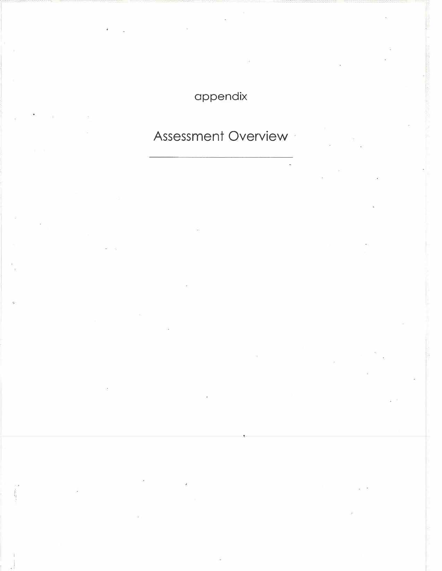## appendix

## Assessment Overview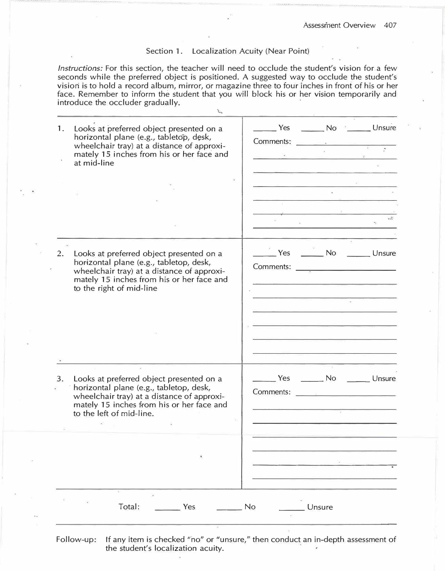## Section 1. Localization Acuity (Near Point)

*Instructions:* For this section, the teacher will need to occlude the student's vision for a few seconds while the preferred object is positioned. A suggested way to occlude the student's vision is to hold a record album, mirror, or magazine three to four inches in front of his or her face. Remember to inform the student that you will block his or her vision temporarily and introduce the occluder gradually.

<..,

| 1.<br>Looks at preferred object presented on a<br>horizontal plane (e.g., tabletop, desk,<br>wheelchair tray) at a distance of approxi-<br>mately 15 inches from his or her face and<br>at mid-line              | Yes No Unsure<br>Comments:                                                 |
|------------------------------------------------------------------------------------------------------------------------------------------------------------------------------------------------------------------|----------------------------------------------------------------------------|
|                                                                                                                                                                                                                  |                                                                            |
| Looks at preferred object presented on a<br>2.<br>horizontal plane (e.g., tabletop, desk,<br>wheelchair tray) at a distance of approxi-<br>mately 15 inches from his or her face and<br>to the right of mid-line | No Unsure<br>Yes<br><u> 1980 - Johann Harry Maria Barat (</u><br>Comments: |
| Looks at preferred object presented on a<br>3.<br>horizontal plane (e.g., tabletop, desk,<br>wheelchair tray) at a distance of approxi-<br>mately 15 inches from his or her face and<br>to the left of mid-line. | No<br>Yes<br>Unsure<br>Comments:                                           |
| Total:<br>Yes                                                                                                                                                                                                    | No<br>Unsure                                                               |

Follow-up: If any item is checked "no" or "unsure," then conduct an in-depth assessment of the student's localization acuity.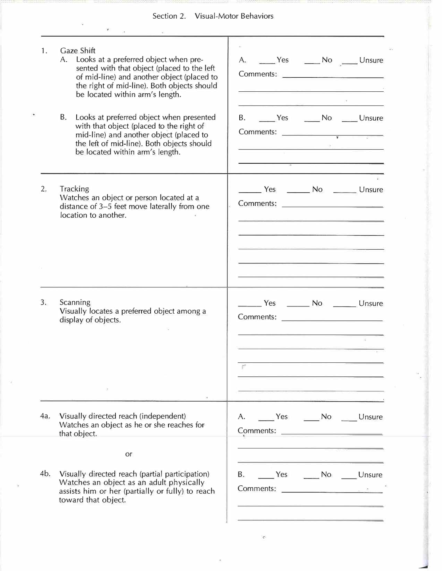## Section 2. Visual-Motor Behaviors

| Gaze Shift<br>1.<br>A. Looks at a preferred object when pre-<br>sented with that object (placed to the left<br>of mid-line) and another object (placed to<br>the right of mid-line). Both objects should<br>be located within arm's length.<br>B.<br>Looks at preferred object when presented<br>with that object (placed to the right of<br>mid-line) and another object (placed to<br>the left of mid-line). Both objects should<br>be located within arm's length. | A. _____ Yes ______ No _____ Unsure<br>Comments:<br>B. No Unsure<br>$\begin{array}{c}\n\text{Comments:}\n\end{array}$<br><u>g ann an Aonaich an S</u> |
|-----------------------------------------------------------------------------------------------------------------------------------------------------------------------------------------------------------------------------------------------------------------------------------------------------------------------------------------------------------------------------------------------------------------------------------------------------------------------|-------------------------------------------------------------------------------------------------------------------------------------------------------|
| 2.<br><b>Tracking</b><br>Watches an object or person located at a<br>distance of 3-5 feet move laterally from one<br>location to another.                                                                                                                                                                                                                                                                                                                             | Yes _________ No ________ Unsure<br><u> 1990 - Antonio Alemania (m. 1980)</u>                                                                         |
| 3.<br>Scanning<br>Visually locates a preferred object among a<br>display of objects.                                                                                                                                                                                                                                                                                                                                                                                  |                                                                                                                                                       |
| Visually directed reach (independent)<br>4a.<br>Watches an object as he or she reaches for<br>that object.<br>or                                                                                                                                                                                                                                                                                                                                                      | A. No Unsure<br>Comments:                                                                                                                             |
| 4b.<br>Visually directed reach (partial participation)<br>Watches an object as an adult physically<br>assists him or her (partially or fully) to reach<br>toward that object.                                                                                                                                                                                                                                                                                         | <b>B.</b><br>Ves No Unsure                                                                                                                            |

 $\mathbb{C}$ 

--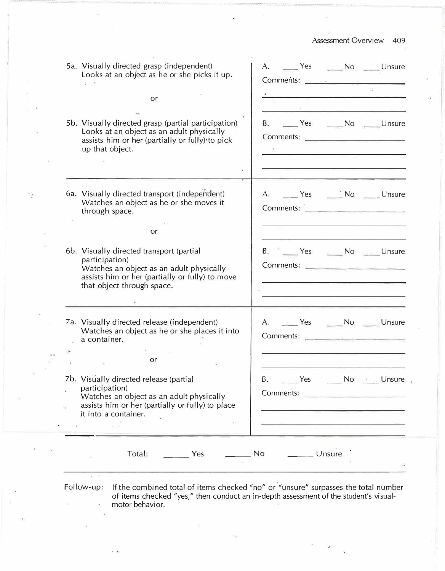Assessment Overview 409

| 5a. Visually directed grasp (independent)<br>Looks at an object as he or she picks it up.                                                                                                                         | A. _____ Yes ______ No _____ Unsure<br>Comments: Comments:                                                                                                                                                                                                                  |  |
|-------------------------------------------------------------------------------------------------------------------------------------------------------------------------------------------------------------------|-----------------------------------------------------------------------------------------------------------------------------------------------------------------------------------------------------------------------------------------------------------------------------|--|
| or                                                                                                                                                                                                                | <u>and the community of the community</u><br>and the control of the control of the control of the control of the control of the control of the control of the control of the control of the control of the control of the control of the control of the control of the cont |  |
| 5b. Visually directed grasp (partial participation)<br>Looks at an object as an adult physically<br>assists him or her (partially or fully) to pick<br>up that object.                                            | B. No Unsure<br><u> De Carlos de la Carlo de Carlos de la Carlo de la Carlo de la Carlo de la Carlo de la Carlo de la Carlo de la </u>                                                                                                                                      |  |
| 6a. Visually directed transport (independent)<br>Watches an object as he or she moves it<br>through space.<br><b>or</b>                                                                                           | A. No Unsure<br>Comments:                                                                                                                                                                                                                                                   |  |
| 6b. Visually directed transport (partial<br>participation)<br>Watches an object as an adult physically<br>assists him or her (partially or fully) to move<br>that object through space.                           | B. <u>No</u> Ves No Unsure<br>the control of the control of the control of the control of the control of the control of                                                                                                                                                     |  |
| 7a. Visually directed release (independent)<br>Watches an object as he or she places it into<br>a container.<br>莊<br>or                                                                                           | A. No Unsure                                                                                                                                                                                                                                                                |  |
| 7b. Visually directed release (partial<br>participation)<br>Watches an object as an adult physically<br>assists him or her (partially or fully) to place<br>it into a container.<br>the control of the control of | Yes _______ No _______ Unsure .<br>Β.<br><u>ng ang managang sa pangalang sa pangalang sa pangalang sa pangalang sa pangalang sa pangalang sa pangalang sa pang</u>                                                                                                          |  |
| Total: _________ Yes _________ No<br>$\frac{1}{4}$ ( $=$ 100)                                                                                                                                                     | $\frac{1}{2}$ Unsure                                                                                                                                                                                                                                                        |  |

-

 $\frac{1}{2}$ 

Follow-up: If the combined total of items checked "no" or."unsure" surpasses the total number of items checked "yes," then conduct an in-depth assessment of the student's visualmotor behavior.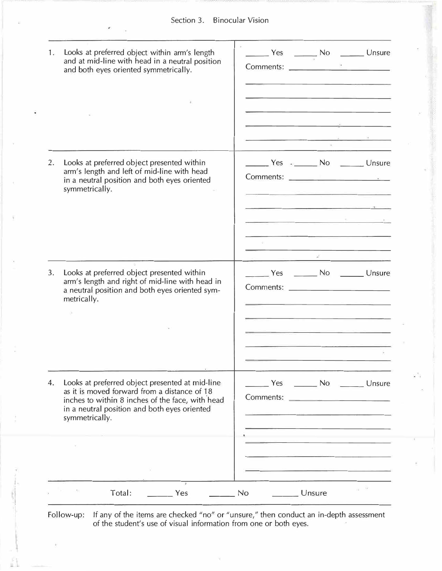| 2. | Looks at preferred object presented within<br>arm's length and left of mid-line with head                                                                                                                             | Ves - No Unsure |                                |           |
|----|-----------------------------------------------------------------------------------------------------------------------------------------------------------------------------------------------------------------------|-----------------|--------------------------------|-----------|
|    | in a neutral position and both eyes oriented<br>symmetrically.                                                                                                                                                        |                 |                                |           |
| 3. | Looks at preferred object presented within<br>arm's length and right of mid-line with head in<br>a neutral position and both eyes oriented sym-<br>metrically.                                                        |                 | Yes ________ No _______ Unsure |           |
| 4. | Looks at preferred object presented at mid-line<br>as it is moved forward from a distance of 18<br>inches to within 8 inches of the face, with head<br>in a neutral position and both eyes oriented<br>symmetrically. | Comments:       | Yes No Unsure                  |           |
|    |                                                                                                                                                                                                                       |                 |                                | $52 - 34$ |

Follow-up: If any of the items are checked "no" or "unsure," then conduct an in-depth assessment of the student's use of visual information from one or both eyes.

'.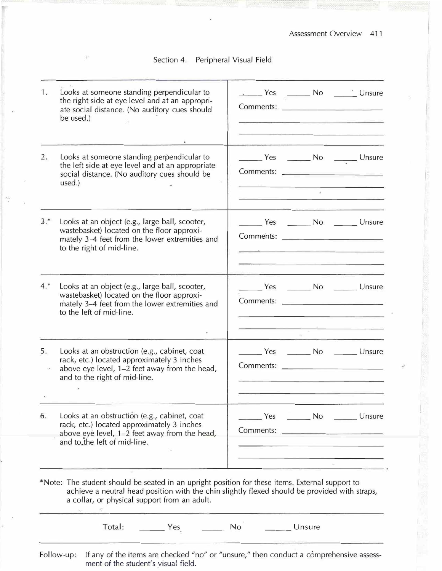Section 4. Peripheral Visual Field

| 1.    | Looks at someone standing perpendicular to<br>the right side at eye level and at an appropri-<br>ate social distance. (No auditory cues should<br>be used.)                                                                                      | Ves No No Unsure<br>Comments:                                                                                                                             |
|-------|--------------------------------------------------------------------------------------------------------------------------------------------------------------------------------------------------------------------------------------------------|-----------------------------------------------------------------------------------------------------------------------------------------------------------|
| 2.    | Looks at someone standing perpendicular to<br>the left side at eye level and at an appropriate<br>social distance. (No auditory cues should be<br>used.)                                                                                         | _______ Yes _______ No _______ Unsure<br>Comments: Comments:<br>the company of the company of the company of the company of the company of the company of |
| $3.*$ | Looks at an object (e.g., large ball, scooter,<br>wastebasket) located on the floor approxi-<br>mately 3-4 feet from the lower extremities and<br>to the right of mid-line.                                                                      |                                                                                                                                                           |
| $4.*$ | Looks at an object (e.g., large ball, scooter,<br>wastebasket) located on the floor approxi-<br>mately 3-4 feet from the lower extremities and<br>to the left of mid-line.                                                                       |                                                                                                                                                           |
| 5.    | Looks at an obstruction (e.g., cabinet, coat<br>rack, etc.) located approximately 3 inches<br>above eye level, 1-2 feet away from the head,<br>and to the right of mid-line.                                                                     | Ves ________ No ________ Unsure                                                                                                                           |
| 6.    | Looks at an obstruction (e.g., cabinet, coat<br>rack, etc.) located approximately 3 inches<br>above eye level, 1-2 feet away from the head,<br>and to the left of mid-line.                                                                      | No Disure Changes No Disure<br>Comments:                                                                                                                  |
|       | *Note: The student should be seated in an upright position for these items. External support to<br>achieve a neutral head position with the chin slightly flexed should be provided with straps,<br>a collar, or physical support from an adult. |                                                                                                                                                           |
|       | Total: ________ Yes ________ No                                                                                                                                                                                                                  | Unsure                                                                                                                                                    |
|       | Follow-up:<br>ment of the student's visual field.                                                                                                                                                                                                | If any of the items are checked "no" or "unsure," then conduct a comprehensive assess-                                                                    |

 $\frac{1}{2}$